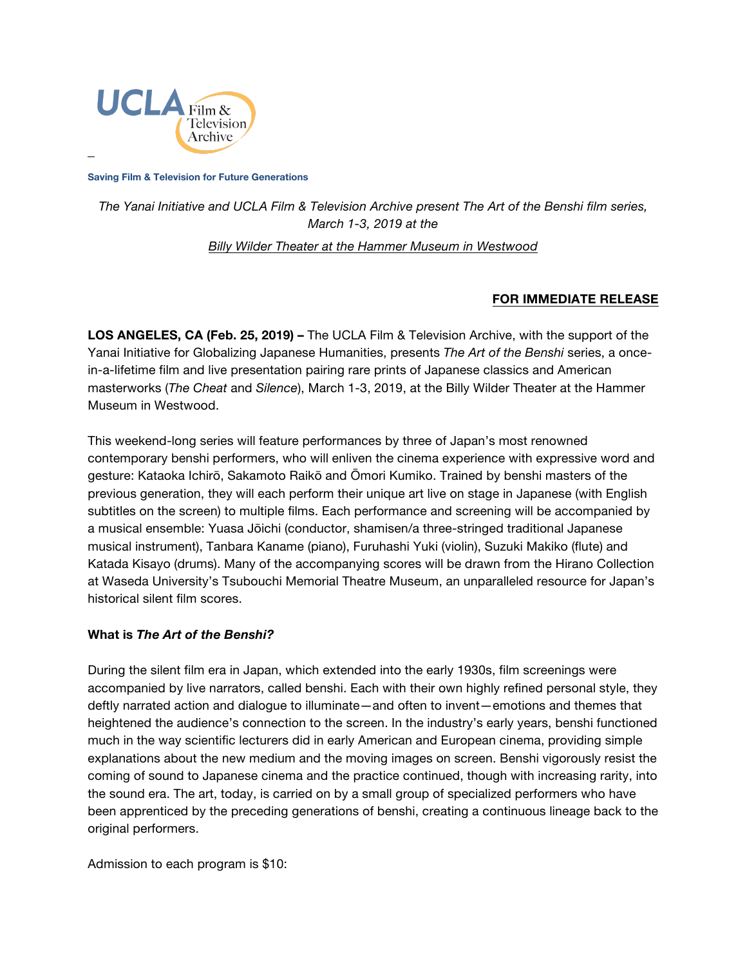

**Saving Film & Television for Future Generations**

*The Yanai Initiative and UCLA Film & Television Archive present The Art of the Benshi film series, March 1-3, 2019 at the Billy Wilder Theater [at the Hammer Museum in Westwood](https://www.cinema.ucla.edu/billy-wilder-theater)*

## **FOR IMMEDIATE RELEASE**

**LOS ANGELES, CA (Feb. 25, 2019) –** The UCLA Film & Television Archive, with the support of the Yanai Initiative for Globalizing Japanese Humanities, presents *The Art of the Benshi* series, a oncein-a-lifetime film and live presentation pairing rare prints of Japanese classics and American masterworks (*The Cheat* and *Silence*), March 1-3, 2019, at the Billy Wilder Theater at the Hammer Museum in Westwood.

This weekend-long series will feature performances by three of Japan's most renowned contemporary benshi performers, who will enliven the cinema experience with expressive word and gesture: Kataoka Ichirō, Sakamoto Raikō and Ōmori Kumiko. Trained by benshi masters of the previous generation, they will each perform their unique art live on stage in Japanese (with English subtitles on the screen) to multiple films. Each performance and screening will be accompanied by a musical ensemble: Yuasa Jōichi (conductor, shamisen/a three-stringed traditional Japanese musical instrument), Tanbara Kaname (piano), Furuhashi Yuki (violin), Suzuki Makiko (flute) and Katada Kisayo (drums). Many of the accompanying scores will be drawn from the Hirano Collection at Waseda University's Tsubouchi Memorial Theatre Museum, an unparalleled resource for Japan's historical silent film scores.

## **What is** *The Art of the Benshi?*

During the silent film era in Japan, which extended into the early 1930s, film screenings were accompanied by live narrators, called benshi. Each with their own highly refined personal style, they deftly narrated action and dialogue to illuminate—and often to invent—emotions and themes that heightened the audience's connection to the screen. In the industry's early years, benshi functioned much in the way scientific lecturers did in early American and European cinema, providing simple explanations about the new medium and the moving images on screen. Benshi vigorously resist the coming of sound to Japanese cinema and the practice continued, though with increasing rarity, into the sound era. The art, today, is carried on by a small group of specialized performers who have been apprenticed by the preceding generations of benshi, creating a continuous lineage back to the original performers.

Admission to each program is \$10: